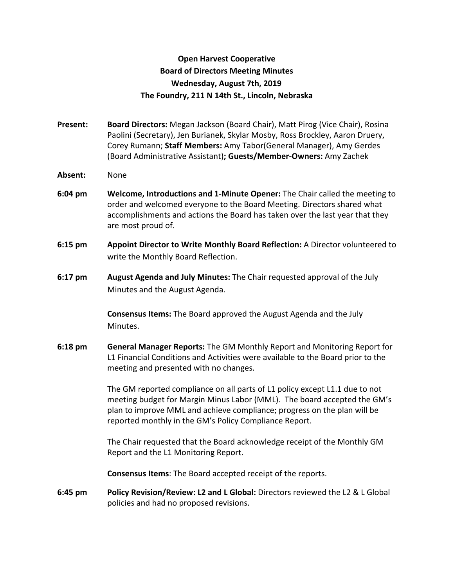## **Open Harvest Cooperative Board of Directors Meeting Minutes Wednesday, August 7th, 2019 The Foundry, 211 N 14th St., Lincoln, Nebraska**

- **Present: Board Directors:** Megan Jackson (Board Chair), Matt Pirog (Vice Chair), Rosina Paolini (Secretary), Jen Burianek, Skylar Mosby, Ross Brockley, Aaron Druery, Corey Rumann; **Staff Members:** Amy Tabor(General Manager), Amy Gerdes (Board Administrative Assistant)**; Guests/Member-Owners:** Amy Zachek
- **Absent:** None
- **6:04 pm Welcome, Introductions and 1-Minute Opener:** The Chair called the meeting to order and welcomed everyone to the Board Meeting. Directors shared what accomplishments and actions the Board has taken over the last year that they are most proud of.
- **6:15 pm Appoint Director to Write Monthly Board Reflection:** A Director volunteered to write the Monthly Board Reflection.
- **6:17 pm August Agenda and July Minutes:** The Chair requested approval of the July Minutes and the August Agenda.

**Consensus Items:** The Board approved the August Agenda and the July Minutes.

**6:18 pm General Manager Reports:** The GM Monthly Report and Monitoring Report for L1 Financial Conditions and Activities were available to the Board prior to the meeting and presented with no changes.

> The GM reported compliance on all parts of L1 policy except L1.1 due to not meeting budget for Margin Minus Labor (MML). The board accepted the GM's plan to improve MML and achieve compliance; progress on the plan will be reported monthly in the GM's Policy Compliance Report.

The Chair requested that the Board acknowledge receipt of the Monthly GM Report and the L1 Monitoring Report.

**Consensus Items**: The Board accepted receipt of the reports.

**6:45 pm Policy Revision/Review: L2 and L Global:** Directors reviewed the L2 & L Global policies and had no proposed revisions.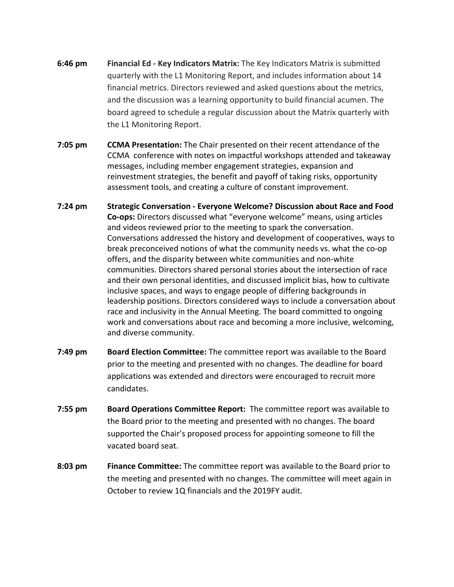- **6:46 pm Financial Ed Key Indicators Matrix:** The Key Indicators Matrix is submitted quarterly with the L1 Monitoring Report, and includes information about 14 financial metrics. Directors reviewed and asked questions about the metrics, and the discussion was a learning opportunity to build financial acumen. The board agreed to schedule a regular discussion about the Matrix quarterly with the L1 Monitoring Report.
- **7:05 pm CCMA Presentation:** The Chair presented on their recent attendance of the CCMA conference with notes on impactful workshops attended and takeaway messages, including member engagement strategies, expansion and reinvestment strategies, the benefit and payoff of taking risks, opportunity assessment tools, and creating a culture of constant improvement.
- **7:24 pm Strategic Conversation Everyone Welcome? Discussion about Race and Food Co-ops:** Directors discussed what "everyone welcome" means, using articles and videos reviewed prior to the meeting to spark the conversation. Conversations addressed the history and development of cooperatives, ways to break preconceived notions of what the community needs vs. what the co-op offers, and the disparity between white communities and non-white communities. Directors shared personal stories about the intersection of race and their own personal identities, and discussed implicit bias, how to cultivate inclusive spaces, and ways to engage people of differing backgrounds in leadership positions. Directors considered ways to include a conversation about race and inclusivity in the Annual Meeting. The board committed to ongoing work and conversations about race and becoming a more inclusive, welcoming, and diverse community.
- **7:49 pm Board Election Committee:** The committee report was available to the Board prior to the meeting and presented with no changes. The deadline for board applications was extended and directors were encouraged to recruit more candidates.
- **7:55 pm Board Operations Committee Report:** The committee report was available to the Board prior to the meeting and presented with no changes. The board supported the Chair's proposed process for appointing someone to fill the vacated board seat.
- **8:03 pm Finance Committee:** The committee report was available to the Board prior to the meeting and presented with no changes. The committee will meet again in October to review 1Q financials and the 2019FY audit.